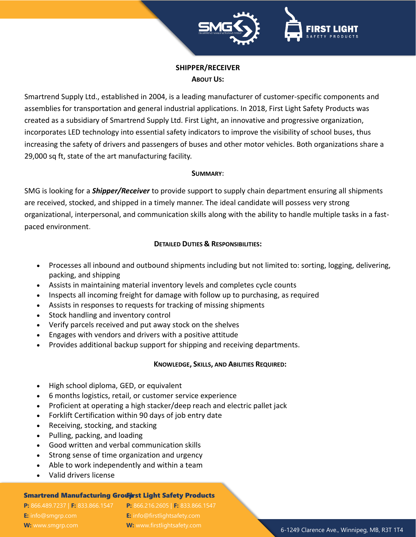



# **SHIPPER/RECEIVER ABOUT US:**

Smartrend Supply Ltd., established in 2004, is a leading manufacturer of customer-specific components and assemblies for transportation and general industrial applications. In 2018, First Light Safety Products was created as a subsidiary of Smartrend Supply Ltd. First Light, an innovative and progressive organization, incorporates LED technology into essential safety indicators to improve the visibility of school buses, thus increasing the safety of drivers and passengers of buses and other motor vehicles. Both organizations share a 29,000 sq ft, state of the art manufacturing facility.

#### **SUMMARY:**

SMG is looking for a *Shipper/Receiver* to provide support to supply chain department ensuring all shipments are received, stocked, and shipped in a timely manner. The ideal candidate will possess very strong organizational, interpersonal, and communication skills along with the ability to handle multiple tasks in a fastpaced environment.

## **DETAILED DUTIES & RESPONSIBILITIES:**

- Processes all inbound and outbound shipments including but not limited to: sorting, logging, delivering, packing, and shipping
- Assists in maintaining material inventory levels and completes cycle counts
- Inspects all incoming freight for damage with follow up to purchasing, as required
- Assists in responses to requests for tracking of missing shipments
- Stock handling and inventory control
- Verify parcels received and put away stock on the shelves
- Engages with vendors and drivers with a positive attitude
- Provides additional backup support for shipping and receiving departments.

### **KNOWLEDGE, SKILLS, AND ABILITIES REQUIRED:**

- High school diploma, GED, or equivalent
- 6 months logistics, retail, or customer service experience
- Proficient at operating a high stacker/deep reach and electric pallet jack
- Forklift Certification within 90 days of job entry date
- Receiving, stocking, and stacking
- Pulling, packing, and loading
- Good written and verbal communication skills
- Strong sense of time organization and urgency
- Able to work independently and within a team
- Valid drivers license

### Smartrend Manufacturing Grouf irst Light Safety Products

**E:** [info@smgrp.com](mailto:info@smgrp.com) **W:** www.smgrp.com

**P:** 866.489.7237 | **F:** 833.866.1547 **P:** 866.216.2605 | **F:** 833.866.1547 **E:** [info@firstlightsafety.com](mailto:info@firstlightsafety.com) **W:** www.firstlightsafety.com